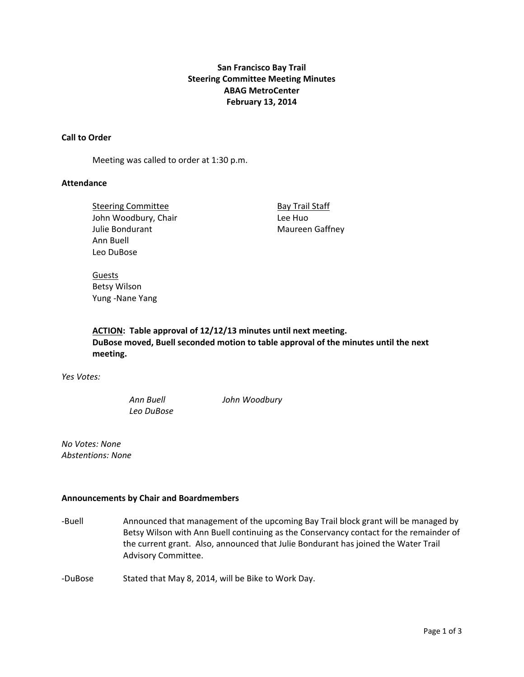## **San Francisco Bay Trail Steering Committee Meeting Minutes ABAG MetroCenter February 13, 2014**

## **Call to Order**

Meeting was called to order at 1:30 p.m.

## **Attendance**

Steering Committee **Bay Trail Staff** John Woodbury, Chair **Bank Chair Lee Huo** Julie Bondurant **Maureen Gaffney** Ann Buell Leo DuBose

Guests Betsy Wilson Yung ‐Nane Yang

**ACTION: Table approval of 12/12/13 minutes until next meeting. DuBose moved, Buell seconded motion to table approval of the minutes until the next meeting.** 

*Yes Votes:*

*Leo DuBose* 

*Ann Buell John Woodbury*

*No Votes: None Abstentions: None*

### **Announcements by Chair and Boardmembers**

‐Buell Announced that management of the upcoming Bay Trail block grant will be managed by Betsy Wilson with Ann Buell continuing as the Conservancy contact for the remainder of the current grant. Also, announced that Julie Bondurant has joined the Water Trail Advisory Committee.

‐DuBose Stated that May 8, 2014, will be Bike to Work Day.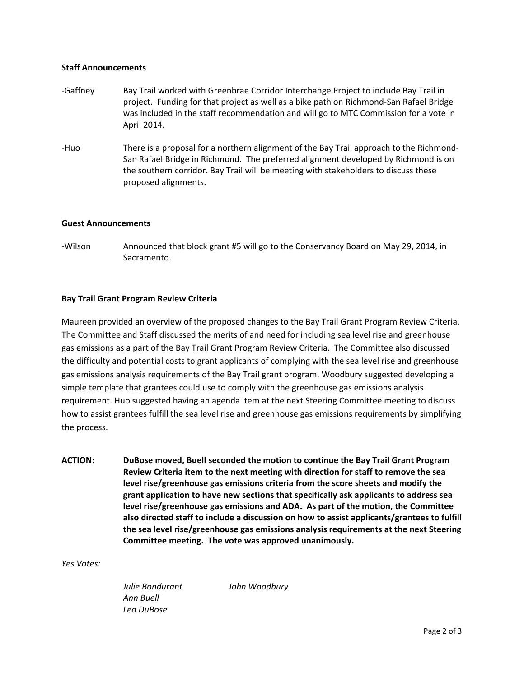#### **Staff Announcements**

- ‐Gaffney Bay Trail worked with Greenbrae Corridor Interchange Project to include Bay Trail in project. Funding for that project as well as a bike path on Richmond‐San Rafael Bridge was included in the staff recommendation and will go to MTC Commission for a vote in April 2014.
- ‐Huo There is a proposal for a northern alignment of the Bay Trail approach to the Richmond‐ San Rafael Bridge in Richmond. The preferred alignment developed by Richmond is on the southern corridor. Bay Trail will be meeting with stakeholders to discuss these proposed alignments.

#### **Guest Announcements**

‐Wilson Announced that block grant #5 will go to the Conservancy Board on May 29, 2014, in Sacramento.

## **Bay Trail Grant Program Review Criteria**

Maureen provided an overview of the proposed changes to the Bay Trail Grant Program Review Criteria. The Committee and Staff discussed the merits of and need for including sea level rise and greenhouse gas emissions as a part of the Bay Trail Grant Program Review Criteria. The Committee also discussed the difficulty and potential costs to grant applicants of complying with the sea level rise and greenhouse gas emissions analysis requirements of the Bay Trail grant program. Woodbury suggested developing a simple template that grantees could use to comply with the greenhouse gas emissions analysis requirement. Huo suggested having an agenda item at the next Steering Committee meeting to discuss how to assist grantees fulfill the sea level rise and greenhouse gas emissions requirements by simplifying the process.

**ACTION: DuBose moved, Buell seconded the motion to continue the Bay Trail Grant Program Review Criteria item to the next meeting with direction for staff to remove the sea level rise/greenhouse gas emissions criteria from the score sheets and modify the grant application to have new sections that specifically ask applicants to address sea level rise/greenhouse gas emissions and ADA. As part of the motion, the Committee also directed staff to include a discussion on how to assist applicants/grantees to fulfill the sea level rise/greenhouse gas emissions analysis requirements at the next Steering Committee meeting. The vote was approved unanimously.** 

*Yes Votes:*

*Julie Bondurant John Woodbury Ann Buell Leo DuBose*